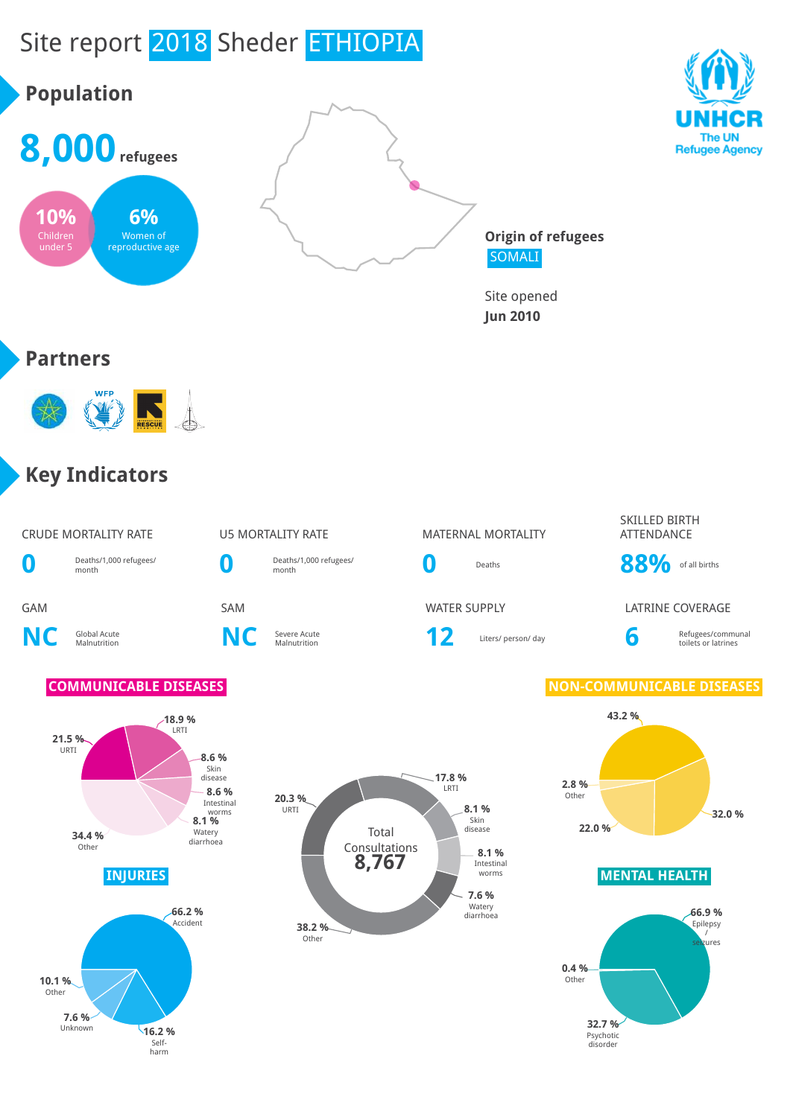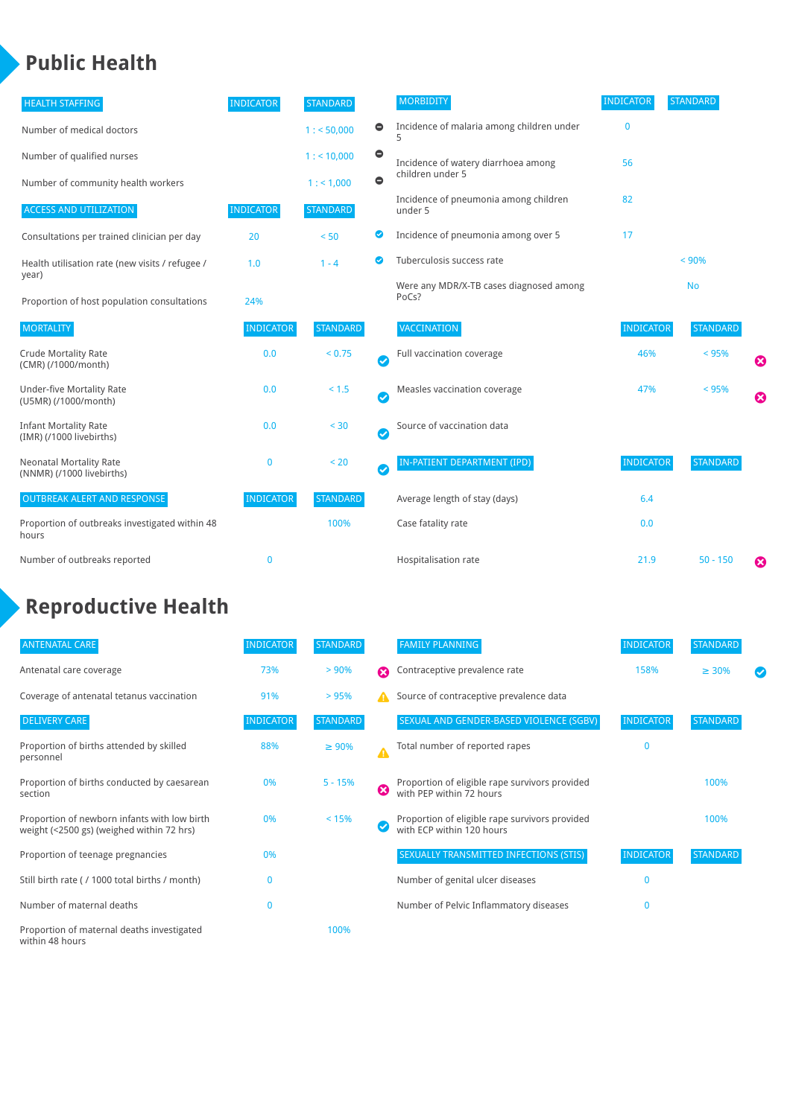### **Public Health**

| <b>HEALTH STAFFING</b>                                      | <b>INDICATOR</b> | <b>STANDARD</b> |           | <b>MORBIDITY</b>                                 | <b>INDICATOR</b> | <b>STANDARD</b> |                       |
|-------------------------------------------------------------|------------------|-----------------|-----------|--------------------------------------------------|------------------|-----------------|-----------------------|
| Number of medical doctors                                   |                  | 1: 50,000       | $\bullet$ | Incidence of malaria among children under        | $\mathbf 0$      |                 |                       |
| Number of qualified nurses                                  |                  | $1:$ < 10,000   | $\bullet$ | Incidence of watery diarrhoea among              | 56               |                 |                       |
| Number of community health workers                          |                  | 1:1,000         | $\bullet$ | children under 5                                 |                  |                 |                       |
| <b>ACCESS AND UTILIZATION</b>                               | <b>INDICATOR</b> | <b>STANDARD</b> |           | Incidence of pneumonia among children<br>under 5 | 82               |                 |                       |
| Consultations per trained clinician per day                 | 20               | < 50            | Ø         | Incidence of pneumonia among over 5              | 17               |                 |                       |
| Health utilisation rate (new visits / refugee /             | 1.0              | $1 - 4$         | ☑         | Tuberculosis success rate                        |                  | < 90%           |                       |
| year)<br>Proportion of host population consultations        | 24%              |                 |           | Were any MDR/X-TB cases diagnosed among<br>PoCs? |                  | <b>No</b>       |                       |
| <b>MORTALITY</b>                                            | <b>INDICATOR</b> | <b>STANDARD</b> |           | <b>VACCINATION</b>                               | <b>INDICATOR</b> | <b>STANDARD</b> |                       |
| <b>Crude Mortality Rate</b><br>(CMR) (/1000/month)          | 0.0              | < 0.75          | Ø         | Full vaccination coverage                        | 46%              | < 95%           | €                     |
| <b>Under-five Mortality Rate</b><br>(U5MR) (/1000/month)    | 0.0              | < 1.5           | Ø         | Measles vaccination coverage                     | 47%              | < 95%           | $\boldsymbol{\Omega}$ |
| <b>Infant Mortality Rate</b><br>(IMR) (/1000 livebirths)    | 0.0              | < 30            | Ø         | Source of vaccination data                       |                  |                 |                       |
| <b>Neonatal Mortality Rate</b><br>(NNMR) (/1000 livebirths) | 0                | < 20            | Ø         | IN-PATIENT DEPARTMENT (IPD)                      | <b>INDICATOR</b> | <b>STANDARD</b> |                       |
| <b>OUTBREAK ALERT AND RESPONSE</b>                          | <b>INDICATOR</b> | <b>STANDARD</b> |           | Average length of stay (days)                    | 6.4              |                 |                       |
| Proportion of outbreaks investigated within 48<br>hours     |                  | 100%            |           | Case fatality rate                               | 0.0              |                 |                       |
| Number of outbreaks reported                                | 0                |                 |           | Hospitalisation rate                             | 21.9             | $50 - 150$      | ೞ                     |

# **Reproductive Health**

| <b>ANTENATAL CARE</b>                                                                     | <b>INDICATOR</b> | <b>STANDARD</b> |   | <b>FAMILY PLANNING</b>                                                      | <b>INDICATOR</b> | <b>STANDARD</b> |  |
|-------------------------------------------------------------------------------------------|------------------|-----------------|---|-----------------------------------------------------------------------------|------------------|-----------------|--|
| Antenatal care coverage                                                                   | 73%              | > 90%           | Ω | Contraceptive prevalence rate                                               | 158%             | $\geq 30\%$     |  |
| Coverage of antenatal tetanus vaccination                                                 | 91%              | >95%            |   | Source of contraceptive prevalence data                                     |                  |                 |  |
| <b>DELIVERY CARE</b>                                                                      | <b>INDICATOR</b> | <b>STANDARD</b> |   | SEXUAL AND GENDER-BASED VIOLENCE (SGBV)                                     | <b>INDICATOR</b> | <b>STANDARD</b> |  |
| Proportion of births attended by skilled<br>personnel                                     | 88%              | $\geq 90\%$     | Δ | Total number of reported rapes                                              | $\mathbf{0}$     |                 |  |
| Proportion of births conducted by caesarean<br>section                                    | 0%               | $5 - 15%$       | ظ | Proportion of eligible rape survivors provided<br>with PEP within 72 hours  |                  | 100%            |  |
| Proportion of newborn infants with low birth<br>weight (<2500 gs) (weighed within 72 hrs) | 0%               | < 15%           |   | Proportion of eligible rape survivors provided<br>with ECP within 120 hours |                  | 100%            |  |
| Proportion of teenage pregnancies                                                         | 0%               |                 |   | SEXUALLY TRANSMITTED INFECTIONS (STIS)                                      | <b>INDICATOR</b> | <b>STANDARD</b> |  |
| Still birth rate (/ 1000 total births / month)                                            |                  |                 |   | Number of genital ulcer diseases                                            | $\Omega$         |                 |  |
| Number of maternal deaths                                                                 | $\mathbf{0}$     |                 |   | Number of Pelvic Inflammatory diseases                                      | $\Omega$         |                 |  |
| Proportion of maternal deaths investigated<br>within 48 hours                             |                  | 100%            |   |                                                                             |                  |                 |  |